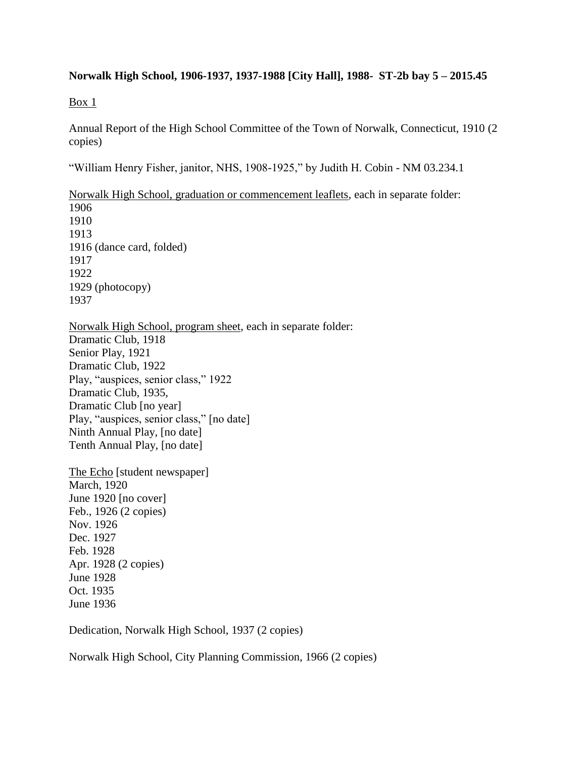## **Norwalk High School, 1906-1937, 1937-1988 [City Hall], 1988- ST-2b bay 5 – 2015.45**

Box 1

Annual Report of the High School Committee of the Town of Norwalk, Connecticut, 1910 (2 copies)

"William Henry Fisher, janitor, NHS, 1908-1925," by Judith H. Cobin - NM 03.234.1

Norwalk High School, graduation or commencement leaflets, each in separate folder: 1906 1910 1913 1916 (dance card, folded) 1917 1922 1929 (photocopy) 1937

Norwalk High School, program sheet, each in separate folder: Dramatic Club, 1918 Senior Play, 1921 Dramatic Club, 1922 Play, "auspices, senior class," 1922 Dramatic Club, 1935, Dramatic Club [no year] Play, "auspices, senior class," [no date] Ninth Annual Play, [no date] Tenth Annual Play, [no date]

The Echo [student newspaper] March, 1920 June 1920 [no cover] Feb., 1926 (2 copies) Nov. 1926 Dec. 1927 Feb. 1928 Apr. 1928 (2 copies) June 1928 Oct. 1935 June 1936

Dedication, Norwalk High School, 1937 (2 copies)

Norwalk High School, City Planning Commission, 1966 (2 copies)